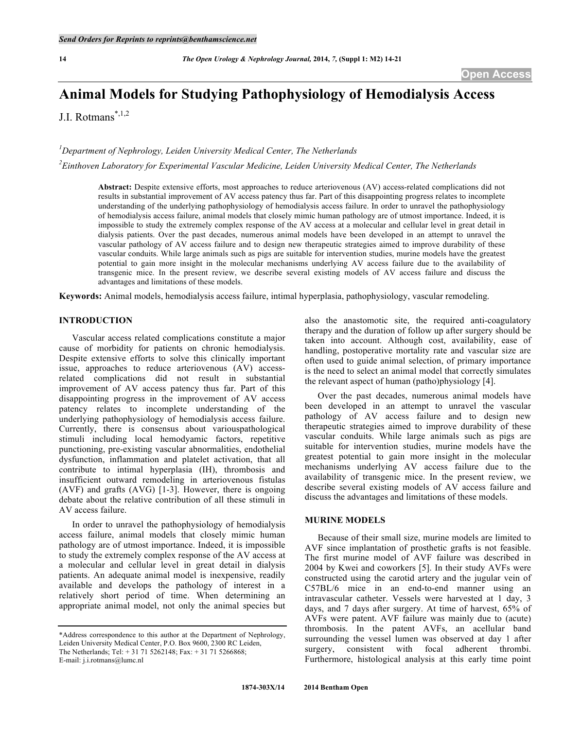# **Animal Models for Studying Pathophysiology of Hemodialysis Access**

J.I. Rotmans\*,1,2

*1 Department of Nephrology, Leiden University Medical Center, The Netherlands*

*2 Einthoven Laboratory for Experimental Vascular Medicine, Leiden University Medical Center, The Netherlands*

**Abstract:** Despite extensive efforts, most approaches to reduce arteriovenous (AV) access-related complications did not results in substantial improvement of AV access patency thus far. Part of this disappointing progress relates to incomplete understanding of the underlying pathophysiology of hemodialysis access failure. In order to unravel the pathophysiology of hemodialysis access failure, animal models that closely mimic human pathology are of utmost importance. Indeed, it is impossible to study the extremely complex response of the AV access at a molecular and cellular level in great detail in dialysis patients. Over the past decades, numerous animal models have been developed in an attempt to unravel the vascular pathology of AV access failure and to design new therapeutic strategies aimed to improve durability of these vascular conduits. While large animals such as pigs are suitable for intervention studies, murine models have the greatest potential to gain more insight in the molecular mechanisms underlying AV access failure due to the availability of transgenic mice. In the present review, we describe several existing models of AV access failure and discuss the advantages and limitations of these models.

**Keywords:** Animal models, hemodialysis access failure, intimal hyperplasia, pathophysiology, vascular remodeling.

#### **INTRODUCTION**

Vascular access related complications constitute a major cause of morbidity for patients on chronic hemodialysis. Despite extensive efforts to solve this clinically important issue, approaches to reduce arteriovenous (AV) accessrelated complications did not result in substantial improvement of AV access patency thus far. Part of this disappointing progress in the improvement of AV access patency relates to incomplete understanding of the underlying pathophysiology of hemodialysis access failure. Currently, there is consensus about variouspathological stimuli including local hemodyamic factors, repetitive punctioning, pre-existing vascular abnormalities, endothelial dysfunction, inflammation and platelet activation, that all contribute to intimal hyperplasia (IH), thrombosis and insufficient outward remodeling in arteriovenous fistulas (AVF) and grafts (AVG) [1-3]. However, there is ongoing debate about the relative contribution of all these stimuli in AV access failure.

In order to unravel the pathophysiology of hemodialysis access failure, animal models that closely mimic human pathology are of utmost importance. Indeed, it is impossible to study the extremely complex response of the AV access at a molecular and cellular level in great detail in dialysis patients. An adequate animal model is inexpensive, readily available and develops the pathology of interest in a relatively short period of time. When determining an appropriate animal model, not only the animal species but

E-mail: j.i.rotmans@lumc.nl

also the anastomotic site, the required anti-coagulatory therapy and the duration of follow up after surgery should be taken into account. Although cost, availability, ease of handling, postoperative mortality rate and vascular size are often used to guide animal selection, of primary importance is the need to select an animal model that correctly simulates the relevant aspect of human (patho)physiology [4].

Over the past decades, numerous animal models have been developed in an attempt to unravel the vascular pathology of AV access failure and to design new therapeutic strategies aimed to improve durability of these vascular conduits. While large animals such as pigs are suitable for intervention studies, murine models have the greatest potential to gain more insight in the molecular mechanisms underlying AV access failure due to the availability of transgenic mice. In the present review, we describe several existing models of AV access failure and discuss the advantages and limitations of these models.

#### **MURINE MODELS**

Because of their small size, murine models are limited to AVF since implantation of prosthetic grafts is not feasible. The first murine model of AVF failure was described in 2004 by Kwei and coworkers [5]. In their study AVFs were constructed using the carotid artery and the jugular vein of C57BL/6 mice in an end-to-end manner using an intravascular catheter. Vessels were harvested at 1 day, 3 days, and 7 days after surgery. At time of harvest, 65% of AVFs were patent. AVF failure was mainly due to (acute) thrombosis. In the patent AVFs, an acellular band surrounding the vessel lumen was observed at day 1 after surgery, consistent with focal adherent thrombi. Furthermore, histological analysis at this early time point

<sup>\*</sup>Address correspondence to this author at the Department of Nephrology, Leiden University Medical Center, P.O. Box 9600, 2300 RC Leiden, The Netherlands; Tel: + 31 71 5262148; Fax: + 31 71 5266868;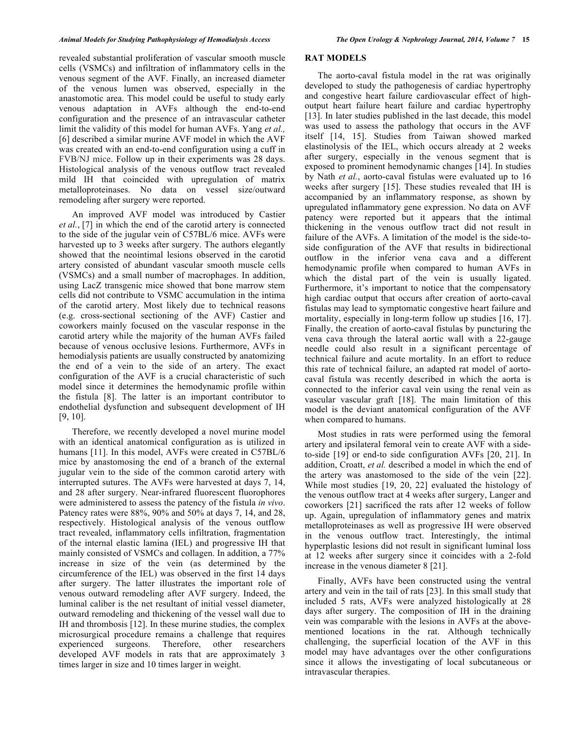revealed substantial proliferation of vascular smooth muscle cells (VSMCs) and infiltration of inflammatory cells in the venous segment of the AVF. Finally, an increased diameter of the venous lumen was observed, especially in the anastomotic area. This model could be useful to study early venous adaptation in AVFs although the end-to-end configuration and the presence of an intravascular catheter limit the validity of this model for human AVFs. Yang *et al.,* [6] described a similar murine AVF model in which the AVF was created with an end-to-end configuration using a cuff in FVB/NJ mice. Follow up in their experiments was 28 days. Histological analysis of the venous outflow tract revealed mild IH that coincided with upregulation of matrix metalloproteinases. No data on vessel size/outward

remodeling after surgery were reported.

An improved AVF model was introduced by Castier *et al.*, [7] in which the end of the carotid artery is connected to the side of the jugular vein of C57BL/6 mice. AVFs were harvested up to 3 weeks after surgery. The authors elegantly showed that the neointimal lesions observed in the carotid artery consisted of abundant vascular smooth muscle cells (VSMCs) and a small number of macrophages. In addition, using LacZ transgenic mice showed that bone marrow stem cells did not contribute to VSMC accumulation in the intima of the carotid artery. Most likely due to technical reasons (e.g. cross-sectional sectioning of the AVF) Castier and coworkers mainly focused on the vascular response in the carotid artery while the majority of the human AVFs failed because of venous occlusive lesions. Furthermore, AVFs in hemodialysis patients are usually constructed by anatomizing the end of a vein to the side of an artery. The exact configuration of the AVF is a crucial characteristic of such model since it determines the hemodynamic profile within the fistula [8]. The latter is an important contributor to endothelial dysfunction and subsequent development of IH [9, 10].

Therefore, we recently developed a novel murine model with an identical anatomical configuration as is utilized in humans [11]. In this model, AVFs were created in C57BL/6 mice by anastomosing the end of a branch of the external jugular vein to the side of the common carotid artery with interrupted sutures. The AVFs were harvested at days 7, 14, and 28 after surgery. Near-infrared fluorescent fluorophores were administered to assess the patency of the fistula *in vivo*. Patency rates were 88%, 90% and 50% at days 7, 14, and 28, respectively. Histological analysis of the venous outflow tract revealed, inflammatory cells infiltration, fragmentation of the internal elastic lamina (IEL) and progressive IH that mainly consisted of VSMCs and collagen. In addition, a 77% increase in size of the vein (as determined by the circumference of the IEL) was observed in the first 14 days after surgery. The latter illustrates the important role of venous outward remodeling after AVF surgery. Indeed, the luminal caliber is the net resultant of initial vessel diameter, outward remodeling and thickening of the vessel wall due to IH and thrombosis [12]. In these murine studies, the complex microsurgical procedure remains a challenge that requires experienced surgeons. Therefore, other researchers developed AVF models in rats that are approximately 3 times larger in size and 10 times larger in weight.

#### **RAT MODELS**

The aorto-caval fistula model in the rat was originally developed to study the pathogenesis of cardiac hypertrophy and congestive heart failure cardiovascular effect of highoutput heart failure heart failure and cardiac hypertrophy [13]. In later studies published in the last decade, this model was used to assess the pathology that occurs in the AVF itself [14, 15]. Studies from Taiwan showed marked elastinolysis of the IEL, which occurs already at 2 weeks after surgery, especially in the venous segment that is exposed to prominent hemodynamic changes [14]. In studies by Nath *et al.*, aorto-caval fistulas were evaluated up to 16 weeks after surgery [15]. These studies revealed that IH is accompanied by an inflammatory response, as shown by upregulated inflammatory gene expression. No data on AVF patency were reported but it appears that the intimal thickening in the venous outflow tract did not result in failure of the AVFs. A limitation of the model is the side-toside configuration of the AVF that results in bidirectional outflow in the inferior vena cava and a different hemodynamic profile when compared to human AVFs in which the distal part of the vein is usually ligated. Furthermore, it's important to notice that the compensatory high cardiac output that occurs after creation of aorto-caval fistulas may lead to symptomatic congestive heart failure and mortality, especially in long-term follow up studies [16, 17]. Finally, the creation of aorto-caval fistulas by puncturing the vena cava through the lateral aortic wall with a 22-gauge needle could also result in a significant percentage of technical failure and acute mortality. In an effort to reduce this rate of technical failure, an adapted rat model of aortocaval fistula was recently described in which the aorta is connected to the inferior caval vein using the renal vein as vascular vascular graft [18]. The main limitation of this model is the deviant anatomical configuration of the AVF when compared to humans.

Most studies in rats were performed using the femoral artery and ipsilateral femoral vein to create AVF with a sideto-side [19] or end-to side configuration AVFs [20, 21]. In addition, Croatt, *et al.* described a model in which the end of the artery was anastomosed to the side of the vein [22]. While most studies [19, 20, 22] evaluated the histology of the venous outflow tract at 4 weeks after surgery, Langer and coworkers [21] sacrificed the rats after 12 weeks of follow up. Again, upregulation of inflammatory genes and matrix metalloproteinases as well as progressive IH were observed in the venous outflow tract. Interestingly, the intimal hyperplastic lesions did not result in significant luminal loss at 12 weeks after surgery since it coincides with a 2-fold increase in the venous diameter 8 [21].

Finally, AVFs have been constructed using the ventral artery and vein in the tail of rats [23]. In this small study that included 5 rats, AVFs were analyzed histologically at 28 days after surgery. The composition of IH in the draining vein was comparable with the lesions in AVFs at the abovementioned locations in the rat. Although technically challenging, the superficial location of the AVF in this model may have advantages over the other configurations since it allows the investigating of local subcutaneous or intravascular therapies.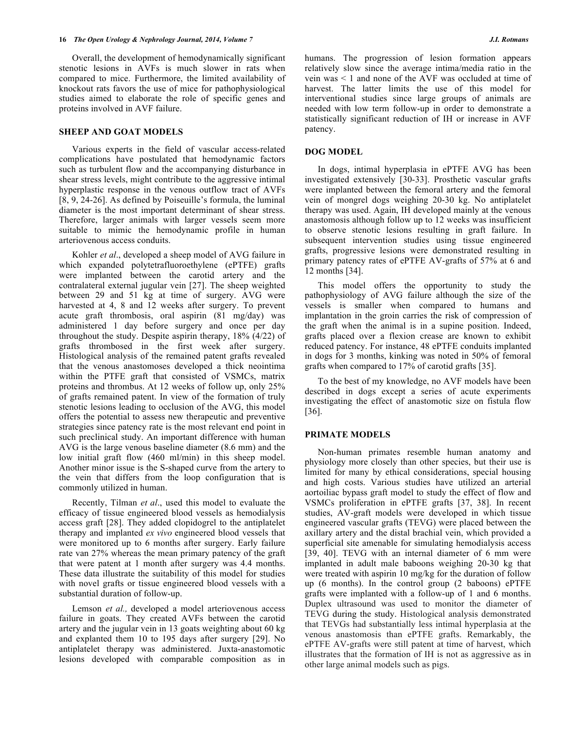Overall, the development of hemodynamically significant stenotic lesions in AVFs is much slower in rats when compared to mice. Furthermore, the limited availability of knockout rats favors the use of mice for pathophysiological studies aimed to elaborate the role of specific genes and proteins involved in AVF failure.

## **SHEEP AND GOAT MODELS**

Various experts in the field of vascular access-related complications have postulated that hemodynamic factors such as turbulent flow and the accompanying disturbance in shear stress levels, might contribute to the aggressive intimal hyperplastic response in the venous outflow tract of AVFs [8, 9, 24-26]. As defined by Poiseuille's formula, the luminal diameter is the most important determinant of shear stress. Therefore, larger animals with larger vessels seem more suitable to mimic the hemodynamic profile in human arteriovenous access conduits.

Kohler *et al*., developed a sheep model of AVG failure in which expanded polytetrafluoroethylene (ePTFE) grafts were implanted between the carotid artery and the contralateral external jugular vein [27]. The sheep weighted between 29 and 51 kg at time of surgery. AVG were harvested at 4, 8 and 12 weeks after surgery. To prevent acute graft thrombosis, oral aspirin (81 mg/day) was administered 1 day before surgery and once per day throughout the study. Despite aspirin therapy, 18% (4/22) of grafts thrombosed in the first week after surgery. Histological analysis of the remained patent grafts revealed that the venous anastomoses developed a thick neointima within the PTFE graft that consisted of VSMCs, matrix proteins and thrombus. At 12 weeks of follow up, only 25% of grafts remained patent. In view of the formation of truly stenotic lesions leading to occlusion of the AVG, this model offers the potential to assess new therapeutic and preventive strategies since patency rate is the most relevant end point in such preclinical study. An important difference with human AVG is the large venous baseline diameter (8.6 mm) and the low initial graft flow (460 ml/min) in this sheep model. Another minor issue is the S-shaped curve from the artery to the vein that differs from the loop configuration that is commonly utilized in human.

Recently, Tilman *et al*., used this model to evaluate the efficacy of tissue engineered blood vessels as hemodialysis access graft [28]. They added clopidogrel to the antiplatelet therapy and implanted *ex vivo* engineered blood vessels that were monitored up to 6 months after surgery. Early failure rate van 27% whereas the mean primary patency of the graft that were patent at 1 month after surgery was 4.4 months. These data illustrate the suitability of this model for studies with novel grafts or tissue engineered blood vessels with a substantial duration of follow-up.

Lemson *et al.,* developed a model arteriovenous access failure in goats. They created AVFs between the carotid artery and the jugular vein in 13 goats weighting about 60 kg and explanted them 10 to 195 days after surgery [29]. No antiplatelet therapy was administered. Juxta-anastomotic lesions developed with comparable composition as in humans. The progression of lesion formation appears relatively slow since the average intima/media ratio in the vein was < 1 and none of the AVF was occluded at time of harvest. The latter limits the use of this model for interventional studies since large groups of animals are needed with low term follow-up in order to demonstrate a statistically significant reduction of IH or increase in AVF patency.

## **DOG MODEL**

In dogs, intimal hyperplasia in ePTFE AVG has been investigated extensively [30-33]. Prosthetic vascular grafts were implanted between the femoral artery and the femoral vein of mongrel dogs weighing 20-30 kg. No antiplatelet therapy was used. Again, IH developed mainly at the venous anastomosis although follow up to 12 weeks was insufficient to observe stenotic lesions resulting in graft failure. In subsequent intervention studies using tissue engineered grafts, progressive lesions were demonstrated resulting in primary patency rates of ePTFE AV-grafts of 57% at 6 and 12 months [34].

This model offers the opportunity to study the pathophysiology of AVG failure although the size of the vessels is smaller when compared to humans and implantation in the groin carries the risk of compression of the graft when the animal is in a supine position. Indeed, grafts placed over a flexion crease are known to exhibit reduced patency. For instance, 48 ePTFE conduits implanted in dogs for 3 months, kinking was noted in 50% of femoral grafts when compared to 17% of carotid grafts [35].

To the best of my knowledge, no AVF models have been described in dogs except a series of acute experiments investigating the effect of anastomotic size on fistula flow [36].

#### **PRIMATE MODELS**

Non-human primates resemble human anatomy and physiology more closely than other species, but their use is limited for many by ethical considerations, special housing and high costs. Various studies have utilized an arterial aortoiliac bypass graft model to study the effect of flow and VSMCs proliferation in ePTFE grafts [37, 38]. In recent studies, AV-graft models were developed in which tissue engineered vascular grafts (TEVG) were placed between the axillary artery and the distal brachial vein, which provided a superficial site amenable for simulating hemodialysis access [39, 40]. TEVG with an internal diameter of 6 mm were implanted in adult male baboons weighing 20-30 kg that were treated with aspirin 10 mg/kg for the duration of follow up (6 months). In the control group (2 baboons) ePTFE grafts were implanted with a follow-up of 1 and 6 months. Duplex ultrasound was used to monitor the diameter of TEVG during the study. Histological analysis demonstrated that TEVGs had substantially less intimal hyperplasia at the venous anastomosis than ePTFE grafts. Remarkably, the ePTFE AV-grafts were still patent at time of harvest, which illustrates that the formation of IH is not as aggressive as in other large animal models such as pigs.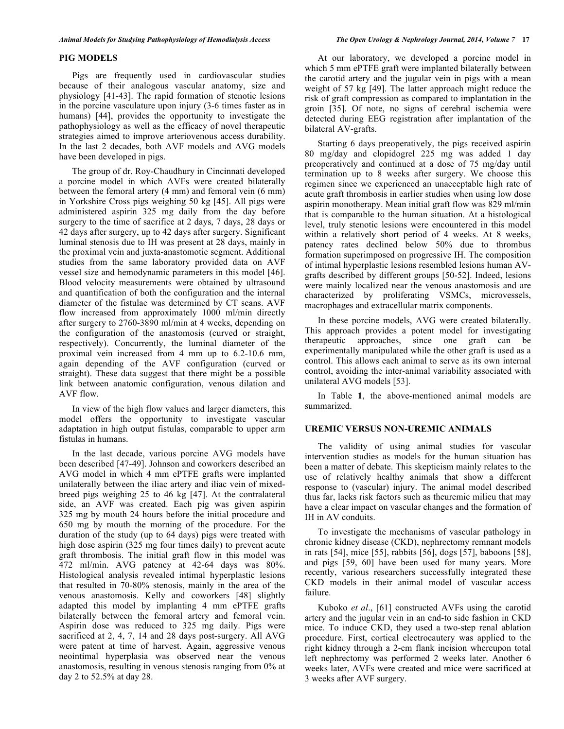#### **PIG MODELS**

Pigs are frequently used in cardiovascular studies because of their analogous vascular anatomy, size and physiology [41-43]. The rapid formation of stenotic lesions in the porcine vasculature upon injury (3-6 times faster as in humans) [44], provides the opportunity to investigate the pathophysiology as well as the efficacy of novel therapeutic strategies aimed to improve arteriovenous access durability. In the last 2 decades, both AVF models and AVG models have been developed in pigs.

The group of dr. Roy-Chaudhury in Cincinnati developed a porcine model in which AVFs were created bilaterally between the femoral artery (4 mm) and femoral vein (6 mm) in Yorkshire Cross pigs weighing 50 kg [45]. All pigs were administered aspirin 325 mg daily from the day before surgery to the time of sacrifice at 2 days, 7 days, 28 days or 42 days after surgery, up to 42 days after surgery. Significant luminal stenosis due to IH was present at 28 days, mainly in the proximal vein and juxta-anastomotic segment. Additional studies from the same laboratory provided data on AVF vessel size and hemodynamic parameters in this model [46]. Blood velocity measurements were obtained by ultrasound and quantification of both the configuration and the internal diameter of the fistulae was determined by CT scans. AVF flow increased from approximately 1000 ml/min directly after surgery to 2760-3890 ml/min at 4 weeks, depending on the configuration of the anastomosis (curved or straight, respectively). Concurrently, the luminal diameter of the proximal vein increased from 4 mm up to 6.2-10.6 mm, again depending of the AVF configuration (curved or straight). These data suggest that there might be a possible link between anatomic configuration, venous dilation and AVF flow.

In view of the high flow values and larger diameters, this model offers the opportunity to investigate vascular adaptation in high output fistulas, comparable to upper arm fistulas in humans.

In the last decade, various porcine AVG models have been described [47-49]. Johnson and coworkers described an AVG model in which 4 mm ePTFE grafts were implanted unilaterally between the iliac artery and iliac vein of mixedbreed pigs weighing 25 to 46 kg [47]. At the contralateral side, an AVF was created. Each pig was given aspirin 325 mg by mouth 24 hours before the initial procedure and 650 mg by mouth the morning of the procedure. For the duration of the study (up to 64 days) pigs were treated with high dose aspirin (325 mg four times daily) to prevent acute graft thrombosis. The initial graft flow in this model was 472 ml/min. AVG patency at 42*-*64 days was 80%. Histological analysis revealed intimal hyperplastic lesions that resulted in 70-80% stenosis, mainly in the area of the venous anastomosis. Kelly and coworkers [48] slightly adapted this model by implanting 4 mm ePTFE grafts bilaterally between the femoral artery and femoral vein. Aspirin dose was reduced to 325 mg daily. Pigs were sacrificed at 2, 4, 7, 14 and 28 days post-surgery. All AVG were patent at time of harvest. Again, aggressive venous neointimal hyperplasia was observed near the venous anastomosis, resulting in venous stenosis ranging from 0% at day 2 to 52.5% at day 28.

At our laboratory, we developed a porcine model in which 5 mm ePTFE graft were implanted bilaterally between the carotid artery and the jugular vein in pigs with a mean weight of 57 kg [49]. The latter approach might reduce the risk of graft compression as compared to implantation in the groin [35]. Of note, no signs of cerebral ischemia were detected during EEG registration after implantation of the bilateral AV-grafts.

Starting 6 days preoperatively, the pigs received aspirin 80 mg/day and clopidogrel 225 mg was added 1 day preoperatively and continued at a dose of 75 mg/day until termination up to 8 weeks after surgery. We choose this regimen since we experienced an unacceptable high rate of acute graft thrombosis in earlier studies when using low dose aspirin monotherapy. Mean initial graft flow was 829 ml/min that is comparable to the human situation. At a histological level, truly stenotic lesions were encountered in this model within a relatively short period of 4 weeks. At 8 weeks, patency rates declined below 50% due to thrombus formation superimposed on progressive IH. The composition of intimal hyperplastic lesions resembled lesions human AVgrafts described by different groups [50-52]. Indeed, lesions were mainly localized near the venous anastomosis and are characterized by proliferating VSMCs, microvessels, macrophages and extracellular matrix components.

In these porcine models, AVG were created bilaterally. This approach provides a potent model for investigating therapeutic approaches, since one graft can be experimentally manipulated while the other graft is used as a control. This allows each animal to serve as its own internal control, avoiding the inter-animal variability associated with unilateral AVG models [53].

In Table **1**, the above-mentioned animal models are summarized.

## **UREMIC VERSUS NON-UREMIC ANIMALS**

The validity of using animal studies for vascular intervention studies as models for the human situation has been a matter of debate. This skepticism mainly relates to the use of relatively healthy animals that show a different response to (vascular) injury. The animal model described thus far, lacks risk factors such as theuremic milieu that may have a clear impact on vascular changes and the formation of IH in AV conduits.

To investigate the mechanisms of vascular pathology in chronic kidney disease (CKD), nephrectomy remnant models in rats [54], mice [55], rabbits [56], dogs [57], baboons [58], and pigs [59, 60] have been used for many years. More recently, various researchers successfully integrated these CKD models in their animal model of vascular access failure.

Kuboko *et al*., [61] constructed AVFs using the carotid artery and the jugular vein in an end-to side fashion in CKD mice. To induce CKD, they used a two-step renal ablation procedure. First, cortical electrocautery was applied to the right kidney through a 2-cm flank incision whereupon total left nephrectomy was performed 2 weeks later. Another 6 weeks later, AVFs were created and mice were sacrificed at 3 weeks after AVF surgery.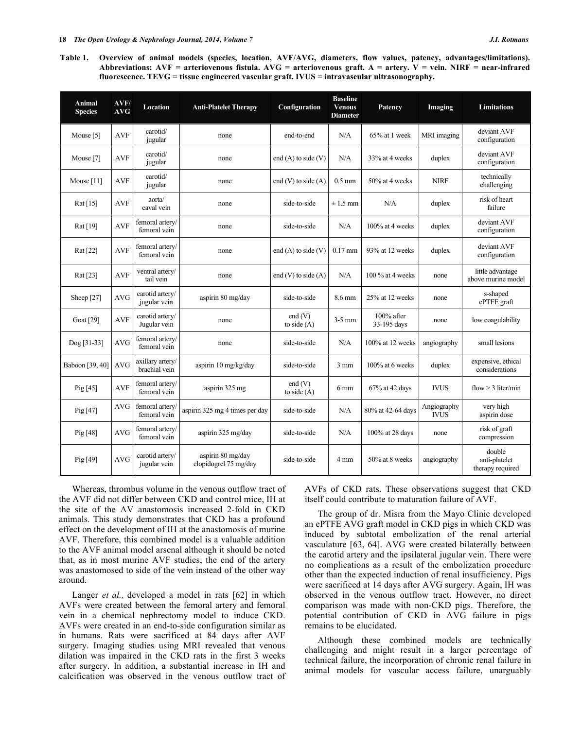**Table 1. Overview of animal models (species, location, AVF/AVG, diameters, flow values, patency, advantages/limitations). Abbreviations: AVF = arteriovenous fistula. AVG = arteriovenous graft. A = artery. V = vein. NIRF = near-infrared fluorescence. TEVG = tissue engineered vascular graft. IVUS = intravascular ultrasonography.**

| Animal<br><b>Species</b> | AVF/<br>AVG | <b>Location</b>                   | <b>Anti-Platelet Therapy</b>               | Configuration            | <b>Baseline</b><br><b>Venous</b><br><b>Diameter</b> | Patency                      | Imaging                    | <b>Limitations</b>                          |
|--------------------------|-------------|-----------------------------------|--------------------------------------------|--------------------------|-----------------------------------------------------|------------------------------|----------------------------|---------------------------------------------|
| Mouse [5]                | <b>AVF</b>  | carotid/<br>jugular               | none                                       | end-to-end               | N/A                                                 | $65\%$ at 1 week             | MRI imaging                | deviant AVF<br>configuration                |
| Mouse [7]                | <b>AVF</b>  | carotid/<br>jugular               | none                                       | end $(A)$ to side $(V)$  | N/A                                                 | 33% at 4 weeks               | duplex                     | deviant AVF<br>configuration                |
| Mouse $[11]$             | <b>AVF</b>  | carotid/<br>jugular               | none                                       | end $(V)$ to side $(A)$  | $0.5$ mm                                            | 50% at 4 weeks               | <b>NIRF</b>                | technically<br>challenging                  |
| Rat $[15]$               | <b>AVF</b>  | aorta/<br>caval vein              | none                                       | side-to-side             | $\pm 1.5$ mm                                        | N/A                          | duplex                     | risk of heart<br>failure                    |
| Rat [19]                 | <b>AVF</b>  | femoral artery/<br>femoral vein   | none                                       | side-to-side             | N/A                                                 | 100% at 4 weeks              | duplex                     | deviant AVF<br>configuration                |
| Rat [22]                 | <b>AVF</b>  | femoral artery/<br>femoral vein   | none                                       | end $(A)$ to side $(V)$  | $0.17$ mm                                           | 93% at 12 weeks              | duplex                     | deviant AVF<br>configuration                |
| Rat [23]                 | <b>AVF</b>  | ventral artery/<br>tail vein      | none                                       | end $(V)$ to side $(A)$  | N/A                                                 | $100\%$ at 4 weeks           | none                       | little advantage<br>above murine model      |
| Sheep [27]               | <b>AVG</b>  | carotid artery/<br>jugular vein   | aspirin 80 mg/day                          | side-to-side             | 8.6 mm                                              | 25% at 12 weeks              | none                       | s-shaped<br>ePTFE graft                     |
| Goat [29]                | <b>AVF</b>  | carotid artery/<br>Jugular vein   | none                                       | end (V)<br>to side $(A)$ | $3-5$ mm                                            | $100\%$ after<br>33-195 days | none                       | low coagulability                           |
| Dog [31-33]              | <b>AVG</b>  | femoral artery/<br>femoral vein   | none                                       | side-to-side             | N/A                                                 | 100% at 12 weeks             | angiography                | small lesions                               |
| Baboon [39, 40]          | <b>AVG</b>  | axillary artery/<br>brachial vein | aspirin 10 mg/kg/day                       | side-to-side             | $3 \text{ mm}$                                      | 100% at 6 weeks              | duplex                     | expensive, ethical<br>considerations        |
| Pig $[45]$               | <b>AVF</b>  | femoral artery/<br>femoral vein   | aspirin 325 mg                             | end (V)<br>to side $(A)$ | $6 \text{ mm}$                                      | 67% at 42 days               | <b>IVUS</b>                | flow $>$ 3 liter/min                        |
| Pig $[47]$               | <b>AVG</b>  | femoral artery/<br>femoral vein   | aspirin 325 mg 4 times per day             | side-to-side             | N/A                                                 | 80% at 42-64 days            | Angiography<br><b>IVUS</b> | very high<br>aspirin dose                   |
| Pig $[48]$               | <b>AVG</b>  | femoral artery/<br>femoral vein   | aspirin 325 mg/day                         | side-to-side             | N/A                                                 | 100% at 28 days              | none                       | risk of graft<br>compression                |
| Pig $[49]$               | <b>AVG</b>  | carotid artery/<br>jugular vein   | aspirin 80 mg/day<br>clopidogrel 75 mg/day | side-to-side             | 4 mm                                                | 50% at 8 weeks               | angiography                | double<br>anti-platelet<br>therapy required |

Whereas, thrombus volume in the venous outflow tract of the AVF did not differ between CKD and control mice, IH at the site of the AV anastomosis increased 2-fold in CKD animals. This study demonstrates that CKD has a profound effect on the development of IH at the anastomosis of murine AVF. Therefore, this combined model is a valuable addition to the AVF animal model arsenal although it should be noted that, as in most murine AVF studies, the end of the artery was anastomosed to side of the vein instead of the other way around.

Langer *et al.*, developed a model in rats [62] in which AVFs were created between the femoral artery and femoral vein in a chemical nephrectomy model to induce CKD. AVFs were created in an end-to-side configuration similar as in humans. Rats were sacrificed at 84 days after AVF surgery. Imaging studies using MRI revealed that venous dilation was impaired in the CKD rats in the first 3 weeks after surgery. In addition, a substantial increase in IH and calcification was observed in the venous outflow tract of AVFs of CKD rats. These observations suggest that CKD itself could contribute to maturation failure of AVF.

The group of dr. Misra from the Mayo Clinic developed an ePTFE AVG graft model in CKD pigs in which CKD was induced by subtotal embolization of the renal arterial vasculature [63, 64]. AVG were created bilaterally between the carotid artery and the ipsilateral jugular vein. There were no complications as a result of the embolization procedure other than the expected induction of renal insufficiency. Pigs were sacrificed at 14 days after AVG surgery. Again, IH was observed in the venous outflow tract. However, no direct comparison was made with non-CKD pigs. Therefore, the potential contribution of CKD in AVG failure in pigs remains to be elucidated.

Although these combined models are technically challenging and might result in a larger percentage of technical failure, the incorporation of chronic renal failure in animal models for vascular access failure, unarguably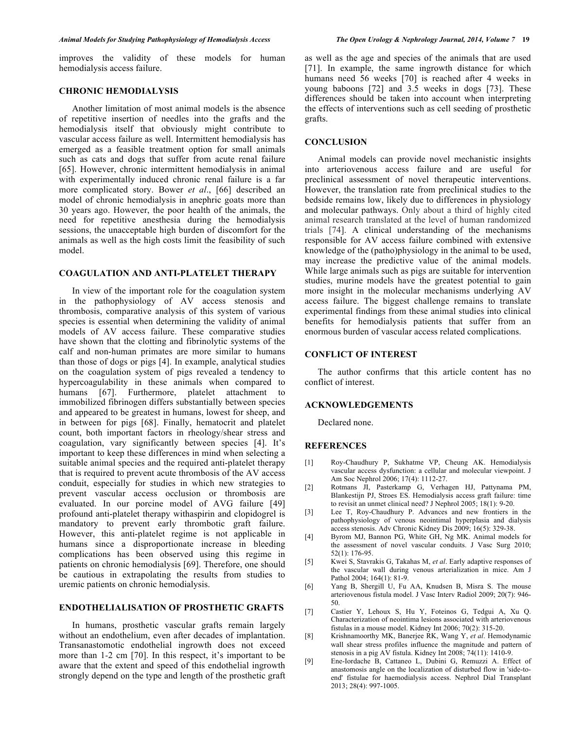improves the validity of these models for human hemodialysis access failure.

### **CHRONIC HEMODIALYSIS**

Another limitation of most animal models is the absence of repetitive insertion of needles into the grafts and the hemodialysis itself that obviously might contribute to vascular access failure as well. Intermittent hemodialysis has emerged as a feasible treatment option for small animals such as cats and dogs that suffer from acute renal failure [65]. However, chronic intermittent hemodialysis in animal with experimentally induced chronic renal failure is a far more complicated story. Bower *et al*., [66] described an model of chronic hemodialysis in anephric goats more than 30 years ago. However, the poor health of the animals, the need for repetitive anesthesia during the hemodialysis sessions, the unacceptable high burden of discomfort for the animals as well as the high costs limit the feasibility of such model.

## **COAGULATION AND ANTI-PLATELET THERAPY**

In view of the important role for the coagulation system in the pathophysiology of AV access stenosis and thrombosis, comparative analysis of this system of various species is essential when determining the validity of animal models of AV access failure. These comparative studies have shown that the clotting and fibrinolytic systems of the calf and non-human primates are more similar to humans than those of dogs or pigs [4]. In example, analytical studies on the coagulation system of pigs revealed a tendency to hypercoagulability in these animals when compared to humans [67]. Furthermore, platelet attachment to immobilized fibrinogen differs substantially between species and appeared to be greatest in humans, lowest for sheep, and in between for pigs [68]. Finally, hematocrit and platelet count, both important factors in rheology/shear stress and coagulation, vary significantly between species [4]. It's important to keep these differences in mind when selecting a suitable animal species and the required anti-platelet therapy that is required to prevent acute thrombosis of the AV access conduit, especially for studies in which new strategies to prevent vascular access occlusion or thrombosis are evaluated. In our porcine model of AVG failure [49] profound anti-platelet therapy withaspirin and clopidogrel is mandatory to prevent early thrombotic graft failure. However, this anti-platelet regime is not applicable in humans since a disproportionate increase in bleeding complications has been observed using this regime in patients on chronic hemodialysis [69]. Therefore, one should be cautious in extrapolating the results from studies to uremic patients on chronic hemodialysis.

# **ENDOTHELIALISATION OF PROSTHETIC GRAFTS**

In humans, prosthetic vascular grafts remain largely without an endothelium, even after decades of implantation. Transanastomotic endothelial ingrowth does not exceed more than 1-2 cm [70]. In this respect, it's important to be aware that the extent and speed of this endothelial ingrowth strongly depend on the type and length of the prosthetic graft

as well as the age and species of the animals that are used [71]. In example, the same ingrowth distance for which humans need 56 weeks [70] is reached after 4 weeks in young baboons [72] and 3.5 weeks in dogs [73]. These differences should be taken into account when interpreting the effects of interventions such as cell seeding of prosthetic grafts.

# **CONCLUSION**

Animal models can provide novel mechanistic insights into arteriovenous access failure and are useful for preclinical assessment of novel therapeutic interventions. However, the translation rate from preclinical studies to the bedside remains low, likely due to differences in physiology and molecular pathways. Only about a third of highly cited animal research translated at the level of human randomized trials [74]. A clinical understanding of the mechanisms responsible for AV access failure combined with extensive knowledge of the (patho)physiology in the animal to be used, may increase the predictive value of the animal models. While large animals such as pigs are suitable for intervention studies, murine models have the greatest potential to gain more insight in the molecular mechanisms underlying AV access failure. The biggest challenge remains to translate experimental findings from these animal studies into clinical benefits for hemodialysis patients that suffer from an enormous burden of vascular access related complications.

#### **CONFLICT OF INTEREST**

The author confirms that this article content has no conflict of interest.

#### **ACKNOWLEDGEMENTS**

Declared none.

## **REFERENCES**

- [1] Roy-Chaudhury P, Sukhatme VP, Cheung AK. Hemodialysis vascular access dysfunction: a cellular and molecular viewpoint. J Am Soc Nephrol 2006; 17(4): 1112-27.
- [2] Rotmans JI, Pasterkamp G, Verhagen HJ, Pattynama PM, Blankestijn PJ, Stroes ES. Hemodialysis access graft failure: time to revisit an unmet clinical need? J Nephrol 2005; 18(1): 9-20.
- [3] Lee T, Roy-Chaudhury P. Advances and new frontiers in the pathophysiology of venous neointimal hyperplasia and dialysis access stenosis. Adv Chronic Kidney Dis 2009; 16(5): 329-38.
- [4] Byrom MJ, Bannon PG, White GH, Ng MK. Animal models for the assessment of novel vascular conduits. J Vasc Surg 2010; 52(1): 176-95.
- [5] Kwei S, Stavrakis G, Takahas M, *et al*. Early adaptive responses of the vascular wall during venous arterialization in mice. Am J Pathol 2004; 164(1): 81-9.
- [6] Yang B, Shergill U, Fu AA, Knudsen B, Misra S. The mouse arteriovenous fistula model. J Vasc Interv Radiol 2009; 20(7): 946- 50.
- [7] Castier Y, Lehoux S, Hu Y, Foteinos G, Tedgui A, Xu Q. Characterization of neointima lesions associated with arteriovenous fistulas in a mouse model. Kidney Int 2006; 70(2): 315-20.
- [8] Krishnamoorthy MK, Banerjee RK, Wang Y, *et al*. Hemodynamic wall shear stress profiles influence the magnitude and pattern of stenosis in a pig AV fistula. Kidney Int 2008; 74(11): 1410-9.
- [9] Ene-Iordache B, Cattaneo L, Dubini G, Remuzzi A. Effect of anastomosis angle on the localization of disturbed flow in 'side-toend' fistulae for haemodialysis access. Nephrol Dial Transplant 2013; 28(4): 997-1005.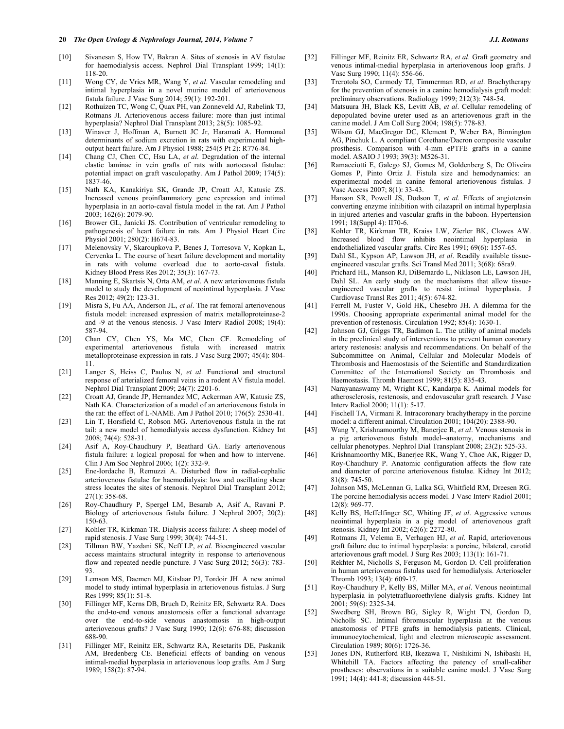- [10] Sivanesan S, How TV, Bakran A. Sites of stenosis in AV fistulae for haemodialysis access. Nephrol Dial Transplant 1999; 14(1): 118-20.
- [11] Wong CY, de Vries MR, Wang Y, *et al*. Vascular remodeling and intimal hyperplasia in a novel murine model of arteriovenous fistula failure. J Vasc Surg 2014; 59(1): 192-201.
- [12] Rothuizen TC, Wong C, Quax PH, van Zonneveld AJ, Rabelink TJ, Rotmans JI. Arteriovenous access failure: more than just intimal hyperplasia? Nephrol Dial Transplant 2013; 28(5): 1085-92.
- [13] Winaver J, Hoffman A, Burnett JC Jr, Haramati A. Hormonal determinants of sodium excretion in rats with experimental highoutput heart failure. Am J Physiol 1988; 254(5 Pt 2): R776-84.
- [14] Chang CJ, Chen CC, Hsu LA, *et al*. Degradation of the internal elastic laminae in vein grafts of rats with aortocaval fistulae: potential impact on graft vasculopathy. Am J Pathol 2009; 174(5): 1837-46.
- [15] Nath KA, Kanakiriya SK, Grande JP, Croatt AJ, Katusic ZS. Increased venous proinflammatory gene expression and intimal hyperplasia in an aorto-caval fistula model in the rat. Am J Pathol 2003; 162(6): 2079-90.
- [16] Brower GL, Janicki JS. Contribution of ventricular remodeling to pathogenesis of heart failure in rats. Am J Physiol Heart Circ Physiol 2001; 280(2): H674-83.
- [17] Melenovsky V, Skaroupkova P, Benes J, Torresova V, Kopkan L, Cervenka L. The course of heart failure development and mortality in rats with volume overload due to aorto-caval fistula. Kidney Blood Press Res 2012; 35(3): 167-73.
- [18] Manning E, Skartsis N, Orta AM, *et al*. A new arteriovenous fistula model to study the development of neointimal hyperplasia. J Vasc Res 2012; 49(2): 123-31.
- [19] Misra S, Fu AA, Anderson JL, *et al*. The rat femoral arteriovenous fistula model: increased expression of matrix metalloproteinase-2 and -9 at the venous stenosis. J Vasc Interv Radiol 2008; 19(4): 587-94.
- [20] Chan CY, Chen YS, Ma MC, Chen CF. Remodeling of experimental arteriovenous fistula with increased matrix metalloproteinase expression in rats. J Vasc Surg 2007; 45(4): 804- 11.
- [21] Langer S, Heiss C, Paulus N, *et al*. Functional and structural response of arterialized femoral veins in a rodent AV fistula model. Nephrol Dial Transplant 2009; 24(7): 2201-6.
- [22] Croatt AJ, Grande JP, Hernandez MC, Ackerman AW, Katusic ZS, Nath KA. Characterization of a model of an arteriovenous fistula in the rat: the effect of L-NAME. Am J Pathol 2010; 176(5): 2530-41.
- [23] Lin T, Horsfield C, Robson MG. Arteriovenous fistula in the rat tail: a new model of hemodialysis access dysfunction. Kidney Int 2008; 74(4): 528-31.
- [24] Asif A, Roy-Chaudhury P, Beathard GA. Early arteriovenous fistula failure: a logical proposal for when and how to intervene. Clin J Am Soc Nephrol 2006; 1(2): 332-9.
- [25] Ene-Iordache B, Remuzzi A. Disturbed flow in radial-cephalic arteriovenous fistulae for haemodialysis: low and oscillating shear stress locates the sites of stenosis. Nephrol Dial Transplant 2012; 27(1): 358-68.
- [26] Roy-Chaudhury P, Spergel LM, Besarab A, Asif A, Ravani P. Biology of arteriovenous fistula failure. J Nephrol 2007; 20(2): 150-63.
- [27] Kohler TR, Kirkman TR. Dialysis access failure: A sheep model of rapid stenosis. J Vasc Surg 1999; 30(4): 744-51.
- [28] Tillman BW, Yazdani SK, Neff LP, *et al*. Bioengineered vascular access maintains structural integrity in response to arteriovenous flow and repeated needle puncture. J Vasc Surg 2012; 56(3): 783- 93.
- [29] Lemson MS, Daemen MJ, Kitslaar PJ, Tordoir JH. A new animal model to study intimal hyperplasia in arteriovenous fistulas. J Surg Res 1999; 85(1): 51-8.
- [30] Fillinger MF, Kerns DB, Bruch D, Reinitz ER, Schwartz RA. Does the end-to-end venous anastomosis offer a functional advantage over the end-to-side venous anastomosis in high-output arteriovenous grafts? J Vasc Surg 1990; 12(6): 676-88; discussion 688-90.
- [31] Fillinger MF, Reinitz ER, Schwartz RA, Resetarits DE, Paskanik AM, Bredenberg CE. Beneficial effects of banding on venous intimal-medial hyperplasia in arteriovenous loop grafts. Am J Surg 1989; 158(2): 87-94.
- [32] Fillinger MF, Reinitz ER, Schwartz RA, *et al*. Graft geometry and venous intimal-medial hyperplasia in arteriovenous loop grafts. J Vasc Surg 1990; 11(4): 556-66.
- [33] Trerotola SO, Carmody TJ, Timmerman RD, *et al*. Brachytherapy for the prevention of stenosis in a canine hemodialysis graft model: preliminary observations. Radiology 1999; 212(3): 748-54.
- [34] Matsuura JH, Black KS, Levitt AB, *et al*. Cellular remodeling of depopulated bovine ureter used as an arteriovenous graft in the canine model. J Am Coll Surg 2004; 198(5): 778-83.
- [35] Wilson GJ, MacGregor DC, Klement P, Weber BA, Binnington AG, Pinchuk L. A compliant Corethane/Dacron composite vascular prosthesis. Comparison with 4-mm ePTFE grafts in a canine model. ASAIO J 1993; 39(3): M526-31.
- [36] Ramacciotti E, Galego SJ, Gomes M, Goldenberg S, De Oliveira Gomes P, Pinto Ortiz J. Fistula size and hemodynamics: an experimental model in canine femoral arteriovenous fistulas. J Vasc Access 2007; 8(1): 33-43.
- [37] Hanson SR, Powell JS, Dodson T, *et al*. Effects of angiotensin converting enzyme inhibition with cilazapril on intimal hyperplasia in injured arteries and vascular grafts in the baboon. Hypertension 1991; 18(Suppl 4): II70-6.
- [38] Kohler TR, Kirkman TR, Kraiss LW, Zierler BK, Clowes AW. Increased blood flow inhibits neointimal hyperplasia in endothelialized vascular grafts. Circ Res 1991; 69(6): 1557-65.
- [39] Dahl SL, Kypson AP, Lawson JH, *et al*. Readily available tissueengineered vascular grafts. Sci Transl Med 2011; 3(68): 68ra9.
- [40] Prichard HL, Manson RJ, DiBernardo L, Niklason LE, Lawson JH, Dahl SL. An early study on the mechanisms that allow tissueengineered vascular grafts to resist intimal hyperplasia. J Cardiovasc Transl Res 2011; 4(5): 674-82.
- [41] Ferrell M, Fuster V, Gold HK, Chesebro JH. A dilemma for the 1990s. Choosing appropriate experimental animal model for the prevention of restenosis. Circulation 1992; 85(4): 1630-1.
- [42] Johnson GJ, Griggs TR, Badimon L. The utility of animal models in the preclinical study of interventions to prevent human coronary artery restenosis: analysis and recommendations. On behalf of the Subcommittee on Animal, Cellular and Molecular Models of Thrombosis and Haemostasis of the Scientific and Standardization Committee of the International Society on Thrombosis and Haemostasis. Thromb Haemost 1999; 81(5): 835-43.
- [43] Narayanaswamy M, Wright KC, Kandarpa K. Animal models for atherosclerosis, restenosis, and endovascular graft research. J Vasc Interv Radiol 2000; 11(1): 5-17.
- [44] Fischell TA, Virmani R. Intracoronary brachytherapy in the porcine model: a different animal. Circulation 2001; 104(20): 2388-90.
- [45] Wang Y, Krishnamoorthy M, Banerjee R, *et al*. Venous stenosis in a pig arteriovenous fistula model--anatomy, mechanisms and cellular phenotypes. Nephrol Dial Transplant 2008; 23(2): 525-33.
- [46] Krishnamoorthy MK, Banerjee RK, Wang Y, Choe AK, Rigger D, Roy-Chaudhury P. Anatomic configuration affects the flow rate and diameter of porcine arteriovenous fistulae. Kidney Int 2012;  $81(8)$ : 745-50.
- [47] Johnson MS, McLennan G, Lalka SG, Whitfield RM, Dreesen RG. The porcine hemodialysis access model. J Vasc Interv Radiol 2001; 12(8): 969-77.
- [48] Kelly BS, Heffelfinger SC, Whiting JF, *et al*. Aggressive venous neointimal hyperplasia in a pig model of arteriovenous graft stenosis. Kidney Int 2002; 62(6): 2272-80.
- [49] Rotmans JI, Velema E, Verhagen HJ, *et al*. Rapid, arteriovenous graft failure due to intimal hyperplasia: a porcine, bilateral, carotid arteriovenous graft model. J Surg Res 2003; 113(1): 161-71.
- [50] Rekhter M, Nicholls S, Ferguson M, Gordon D. Cell proliferation in human arteriovenous fistulas used for hemodialysis. Arterioscler Thromb 1993; 13(4): 609-17.
- [51] Roy-Chaudhury P, Kelly BS, Miller MA, *et al*. Venous neointimal hyperplasia in polytetrafluoroethylene dialysis grafts. Kidney Int 2001; 59(6): 2325-34.
- [52] Swedberg SH, Brown BG, Sigley R, Wight TN, Gordon D, Nicholls SC. Intimal fibromuscular hyperplasia at the venous anastomosis of PTFE grafts in hemodialysis patients. Clinical, immunocytochemical, light and electron microscopic assessment. Circulation 1989; 80(6): 1726-36.
- [53] Jones DN, Rutherford RB, Ikezawa T, Nishikimi N, Ishibashi H, Whitehill TA. Factors affecting the patency of small-caliber prostheses: observations in a suitable canine model. J Vasc Surg 1991; 14(4): 441-8; discussion 448-51.